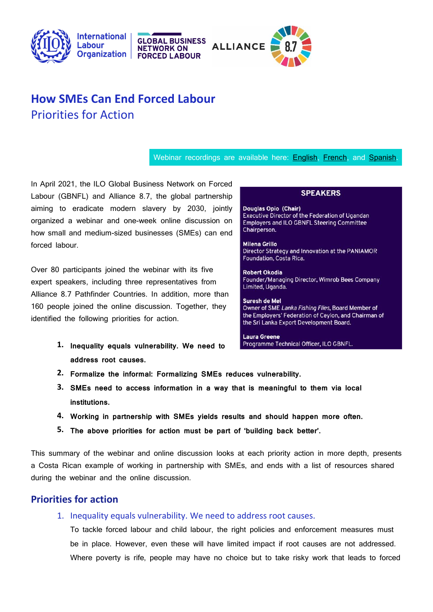



# **How SMEs Can End Forced Labour** Priorities for Action

**GLOBAL BUSINESS** 

**FORCED LABOUR** 

**NETWORK ON** 

### Webinar recordings are available here: **English, French**, and **Spanish**.

In April 2021, the ILO Global Business Network on Forced Labour (GBNFL) and Alliance 8.7, the global partnership aiming to eradicate modern slavery by 2030, jointly organized a webinar and one-week online discussion on how small and medium-sized businesses (SMEs) can end forced labour.

Over 80 participants joined the webinar with its five expert speakers, including three representatives from Alliance 8.7 Pathfinder Countries. In addition, more than 160 people joined the online discussion. Together, they identified the following priorities for action.

> **1. Inequality equals vulnerability. We need to address root causes.**

### **SPEAKERS**

Douglas Opio (Chair) Executive Director of the Federation of Ugandan **Employers and ILO GBNFL Steering Committee** Chairperson.

**Milena Grillo** Director Strategy and Innovation at the PANIAMOR Foundation, Costa Rica.

**Robert Okodia** Founder/Managing Director, Wimrob Bees Company Limited, Uganda.

Suresh de Mel Owner of SME Lanka Fishing Flies, Board Member of the Employers' Federation of Ceylon, and Chairman of the Sri Lanka Export Development Board.

**Laura Greene** Programme Technical Officer, ILO GBNFL.

- **2. Formalize the informal: Formalizing SMEs reduces vulnerability.**
- **3. SMEs need to access information in a way that is meaningful to them via local institutions.**
- **4. Working in partnership with SMEs yields results and should happen more often.**
- **5. The above priorities for action must be part of 'building back better'.**

This summary of the webinar and online discussion looks at each priority action in more depth, presents a Costa Rican example of working in partnership with SMEs, and ends with a list of resources shared during the webinar and the online discussion.

### **Priorities for action**

1. Inequality equals vulnerability. We need to address root causes.

To tackle forced labour and child labour, the right policies and enforcement measures must be in place. However, even these will have limited impact if root causes are not addressed. Where poverty is rife, people may have no choice but to take risky work that leads to forced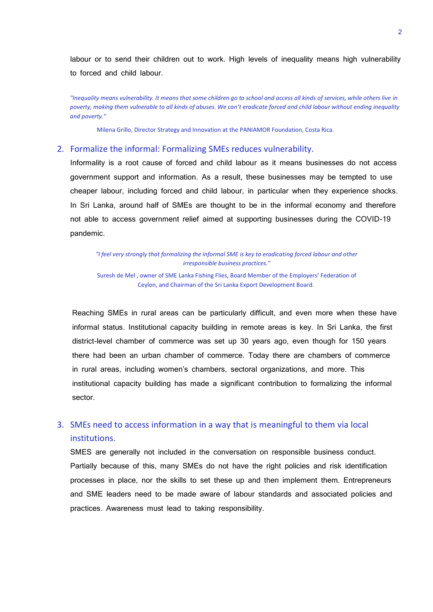labour or to send their children out to work. High levels of inequality means high vulnerability to forced and child labour.

*"Inequality means vulnerability. It means that some children go to school and access all kinds of services, while others live in poverty, making them vulnerable to all kinds of abuses. We can't eradicate forced and child labour without ending inequality and poverty."*

Milena Grillo, Director Strategy and Innovation at the PANIAMOR Foundation, Costa Rica.

### 2. Formalize the informal: Formalizing SMEs reduces vulnerability.

Informality is a root cause of forced and child labour as it means businesses do not access government support and information. As a result, these businesses may be tempted to use cheaper labour, including forced and child labour, in particular when they experience shocks. In Sri Lanka, around half of SMEs are thought to be in the informal economy and therefore not able to access government relief aimed at supporting businesses during the COVID-19 pandemic.

*"I feel very strongly that formalizing the informal SME is key to eradicating forced labour and other irresponsible business practices."*

Suresh de Mel , owner of SME Lanka Fishing Flies, Board Member of the Employers' Federation of Ceylon, and Chairman of the Sri Lanka Export Development Board.

Reaching SMEs in rural areas can be particularly difficult, and even more when these have informal status. Institutional capacity building in remote areas is key. In Sri Lanka, the first district-level chamber of commerce was set up 30 years ago, even though for 150 years there had been an urban chamber of commerce. Today there are chambers of commerce in rural areas, including women's chambers, sectoral organizations, and more. This institutional capacity building has made a significant contribution to formalizing the informal sector.

## 3. SMEs need to access information in a way that is meaningful to them via local institutions.

SMES are generally not included in the conversation on responsible business conduct. Partially because of this, many SMEs do not have the right policies and risk identification processes in place, nor the skills to set these up and then implement them. Entrepreneurs and SME leaders need to be made aware of labour standards and associated policies and practices. Awareness must lead to taking responsibility.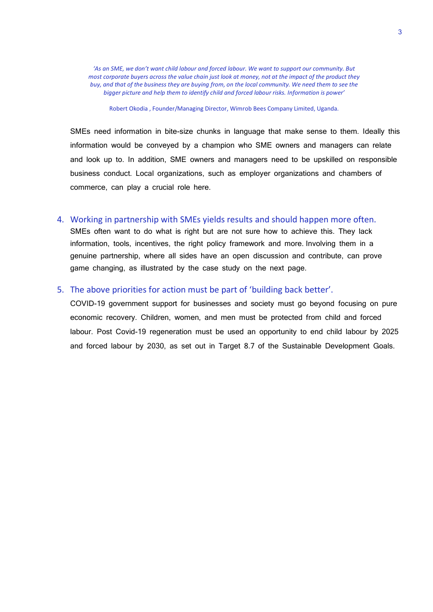*'As an SME, we don't want child labour and forced labour. We want to support our community. But most corporate buyers across the value chain just look at money, not at the impact of the product they buy, and that of the business they are buying from, on the local community. We need them to see the bigger picture and help them to identify child and forced labour risks. Information is power'*

Robert Okodia , Founder/Managing Director, Wimrob Bees Company Limited, Uganda.

SMEs need information in bite-size chunks in language that make sense to them. Ideally this information would be conveyed by a champion who SME owners and managers can relate and look up to. In addition, SME owners and managers need to be upskilled on responsible business conduct. Local organizations, such as employer organizations and chambers of commerce, can play a crucial role here.

### 4. Working in partnership with SMEs yields results and should happen more often.

SMEs often want to do what is right but are not sure how to achieve this. They lack information, tools, incentives, the right policy framework and more. Involving them in a genuine partnership, where all sides have an open discussion and contribute, can prove game changing, as illustrated by the case study on the next page.

### 5. The above priorities for action must be part of 'building back better'.

COVID-19 government support for businesses and society must go beyond focusing on pure economic recovery. Children, women, and men must be protected from child and forced labour. Post Covid-19 regeneration must be used an opportunity to end child labour by 2025 and forced labour by 2030, as set out in Target 8.7 of the Sustainable Development Goals.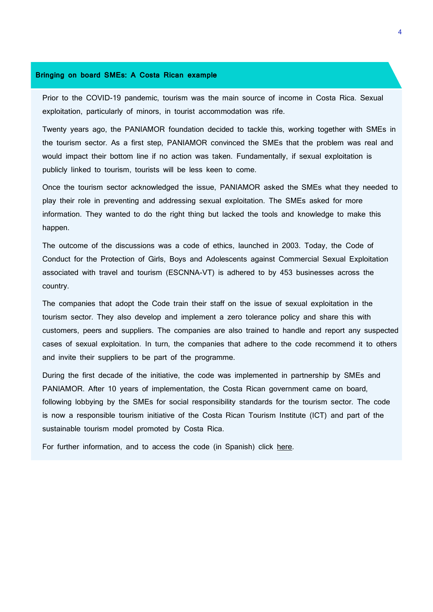### **Bringing on board SMEs: A Costa Rican example**

Prior to the COVID-19 pandemic, tourism was the main source of income in Costa Rica. Sexual exploitation, particularly of minors, in tourist accommodation was rife.

Twenty years ago, the PANIAMOR foundation decided to tackle this, working together with SMEs in the tourism sector. As a first step, PANIAMOR convinced the SMEs that the problem was real and would impact their bottom line if no action was taken. Fundamentally, if sexual exploitation is publicly linked to tourism, tourists will be less keen to come.

Once the tourism sector acknowledged the issue, PANIAMOR asked the SMEs what they needed to play their role in preventing and addressing sexual exploitation. The SMEs asked for more information. They wanted to do the right thing but lacked the tools and knowledge to make this happen.

The outcome of the discussions was a code of ethics, launched in 2003. Today, the Code of Conduct for the Protection of Girls, Boys and Adolescents against Commercial Sexual Exploitation associated with travel and tourism (ESCNNA-VT) is adhered to by 453 businesses across the country.

The companies that adopt the Code train their staff on the issue of sexual exploitation in the tourism sector. They also develop and implement a zero tolerance policy and share this with customers, peers and suppliers. The companies are also trained to handle and report any suspected cases of sexual exploitation. In turn, the companies that adhere to the code recommend it to others and invite their suppliers to be part of the programme.

During the first decade of the initiative, the code was implemented in partnership by SMEs and PANIAMOR. After 10 years of implementation, the Costa Rican government came on board, following lobbying by the SMEs for social responsibility standards for the tourism sector. The code is now a responsible tourism initiative of the Costa Rican Tourism Institute (ICT) and part of the sustainable tourism model promoted by Costa Rica.

For further information, and to access the code (in Spanish) click [here.](https://paniamor.org/Product/detail/7/programa-codigo-de-conducta-)